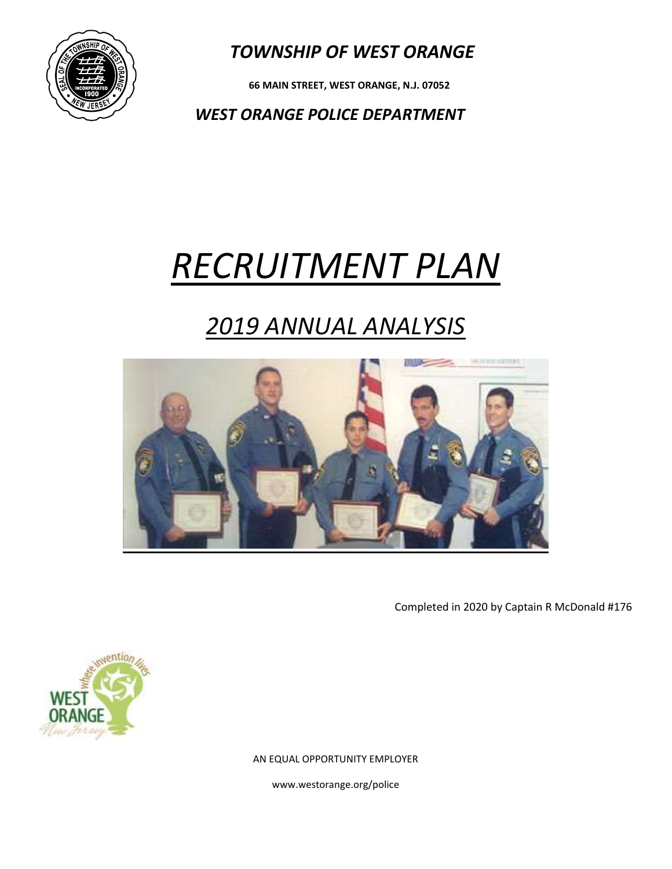

 **66 MAIN STREET, WEST ORANGE, N.J. 07052**

*WEST ORANGE POLICE DEPARTMENT*

# *RECRUITMENT PLAN*

## *2019 ANNUAL ANALYSIS*



Completed in 2020 by Captain R McDonald #176



AN EQUAL OPPORTUNITY EMPLOYER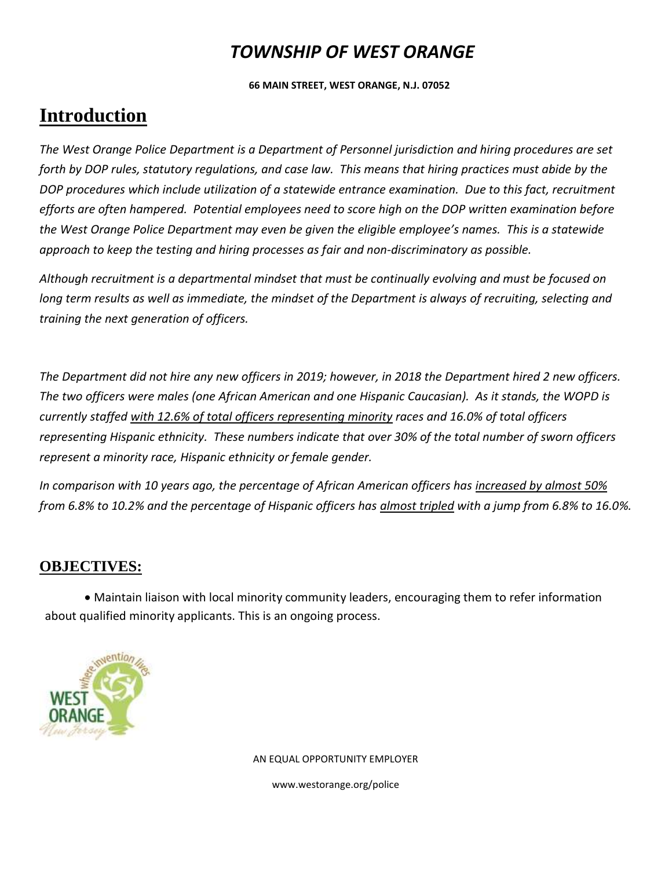**66 MAIN STREET, WEST ORANGE, N.J. 07052**

### **Introduction**

*The West Orange Police Department is a Department of Personnel jurisdiction and hiring procedures are set forth by DOP rules, statutory regulations, and case law. This means that hiring practices must abide by the DOP procedures which include utilization of a statewide entrance examination. Due to this fact, recruitment efforts are often hampered. Potential employees need to score high on the DOP written examination before the West Orange Police Department may even be given the eligible employee's names. This is a statewide approach to keep the testing and hiring processes as fair and non-discriminatory as possible.*

*Although recruitment is a departmental mindset that must be continually evolving and must be focused on long term results as well as immediate, the mindset of the Department is always of recruiting, selecting and training the next generation of officers.*

*The Department did not hire any new officers in 2019; however, in 2018 the Department hired 2 new officers. The two officers were males (one African American and one Hispanic Caucasian). As it stands, the WOPD is currently staffed with 12.6% of total officers representing minority races and 16.0% of total officers representing Hispanic ethnicity. These numbers indicate that over 30% of the total number of sworn officers represent a minority race, Hispanic ethnicity or female gender.* 

*In comparison with 10 years ago, the percentage of African American officers has increased by almost 50% from 6.8% to 10.2% and the percentage of Hispanic officers has almost tripled with a jump from 6.8% to 16.0%.* 

#### **OBJECTIVES:**

Maintain liaison with local minority community leaders, encouraging them to refer information about qualified minority applicants. This is an ongoing process.



AN EQUAL OPPORTUNITY EMPLOYER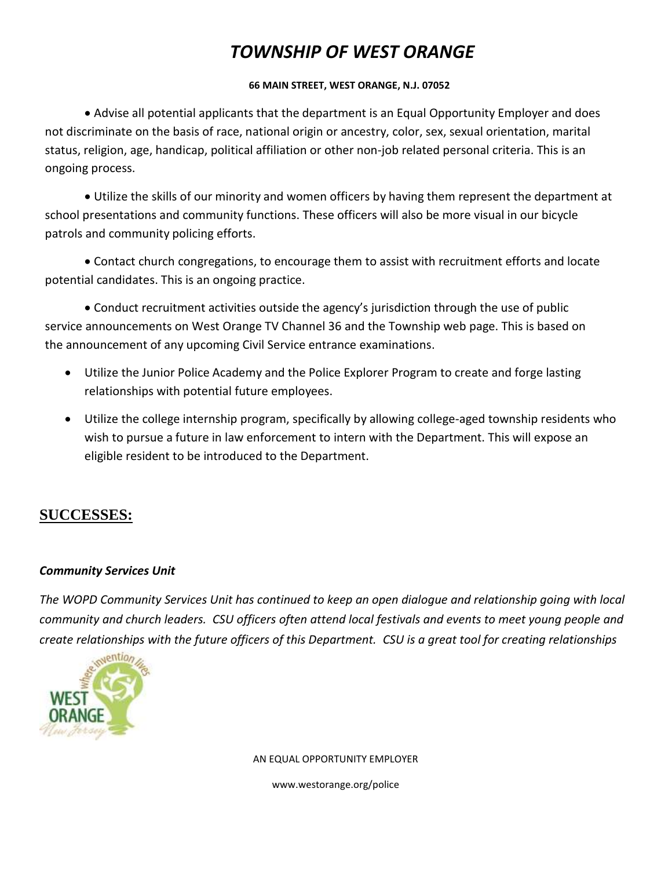#### **66 MAIN STREET, WEST ORANGE, N.J. 07052**

Advise all potential applicants that the department is an Equal Opportunity Employer and does not discriminate on the basis of race, national origin or ancestry, color, sex, sexual orientation, marital status, religion, age, handicap, political affiliation or other non-job related personal criteria. This is an ongoing process.

Utilize the skills of our minority and women officers by having them represent the department at school presentations and community functions. These officers will also be more visual in our bicycle patrols and community policing efforts.

Contact church congregations, to encourage them to assist with recruitment efforts and locate potential candidates. This is an ongoing practice.

Conduct recruitment activities outside the agency's jurisdiction through the use of public service announcements on West Orange TV Channel 36 and the Township web page. This is based on the announcement of any upcoming Civil Service entrance examinations.

- Utilize the Junior Police Academy and the Police Explorer Program to create and forge lasting relationships with potential future employees.
- Utilize the college internship program, specifically by allowing college-aged township residents who wish to pursue a future in law enforcement to intern with the Department. This will expose an eligible resident to be introduced to the Department.

#### **SUCCESSES:**

#### *Community Services Unit*

*The WOPD Community Services Unit has continued to keep an open dialogue and relationship going with local community and church leaders. CSU officers often attend local festivals and events to meet young people and create relationships with the future officers of this Department. CSU is a great tool for creating relationships* 



AN EQUAL OPPORTUNITY EMPLOYER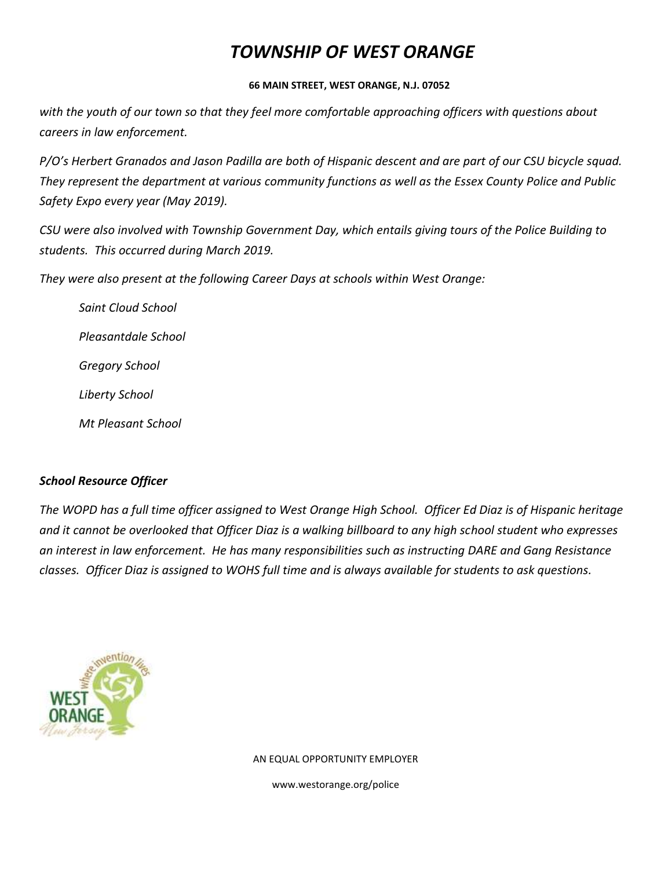#### **66 MAIN STREET, WEST ORANGE, N.J. 07052**

*with the youth of our town so that they feel more comfortable approaching officers with questions about careers in law enforcement.*

*P/O's Herbert Granados and Jason Padilla are both of Hispanic descent and are part of our CSU bicycle squad. They represent the department at various community functions as well as the Essex County Police and Public Safety Expo every year (May 2019).*

*CSU were also involved with Township Government Day, which entails giving tours of the Police Building to students. This occurred during March 2019.*

*They were also present at the following Career Days at schools within West Orange:*

*Saint Cloud School Pleasantdale School Gregory School Liberty School Mt Pleasant School*

#### *School Resource Officer*

*The WOPD has a full time officer assigned to West Orange High School. Officer Ed Diaz is of Hispanic heritage and it cannot be overlooked that Officer Diaz is a walking billboard to any high school student who expresses an interest in law enforcement. He has many responsibilities such as instructing DARE and Gang Resistance classes. Officer Diaz is assigned to WOHS full time and is always available for students to ask questions.*



AN EQUAL OPPORTUNITY EMPLOYER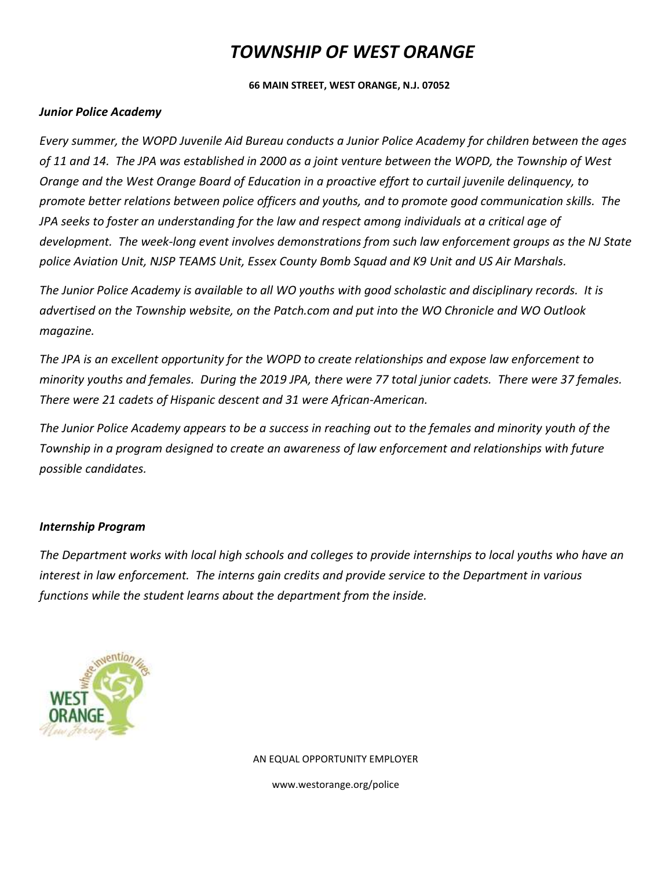#### **66 MAIN STREET, WEST ORANGE, N.J. 07052**

#### *Junior Police Academy*

*Every summer, the WOPD Juvenile Aid Bureau conducts a Junior Police Academy for children between the ages of 11 and 14. The JPA was established in 2000 as a joint venture between the WOPD, the Township of West Orange and the West Orange Board of Education in a proactive effort to curtail juvenile delinquency, to promote better relations between police officers and youths, and to promote good communication skills. The JPA seeks to foster an understanding for the law and respect among individuals at a critical age of development. The week-long event involves demonstrations from such law enforcement groups as the NJ State police Aviation Unit, NJSP TEAMS Unit, Essex County Bomb Squad and K9 Unit and US Air Marshals.*

*The Junior Police Academy is available to all WO youths with good scholastic and disciplinary records. It is advertised on the Township website, on the Patch.com and put into the WO Chronicle and WO Outlook magazine.*

*The JPA is an excellent opportunity for the WOPD to create relationships and expose law enforcement to minority youths and females. During the 2019 JPA, there were 77 total junior cadets. There were 37 females. There were 21 cadets of Hispanic descent and 31 were African-American.*

*The Junior Police Academy appears to be a success in reaching out to the females and minority youth of the Township in a program designed to create an awareness of law enforcement and relationships with future possible candidates.* 

#### *Internship Program*

*The Department works with local high schools and colleges to provide internships to local youths who have an interest in law enforcement. The interns gain credits and provide service to the Department in various functions while the student learns about the department from the inside.* 



AN EQUAL OPPORTUNITY EMPLOYER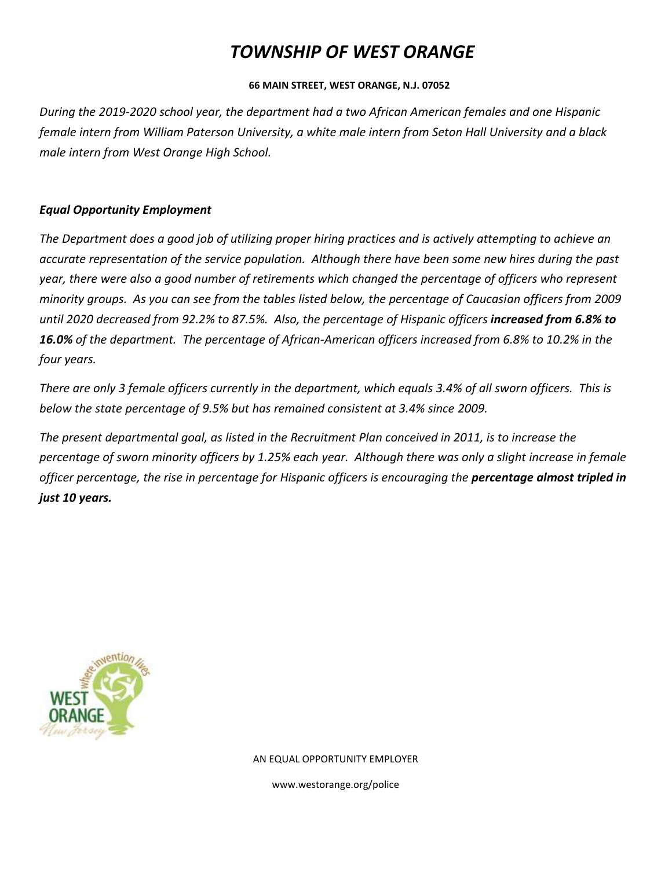#### **66 MAIN STREET, WEST ORANGE, N.J. 07052**

*During the 2019-2020 school year, the department had a two African American females and one Hispanic female intern from William Paterson University, a white male intern from Seton Hall University and a black male intern from West Orange High School.*

#### *Equal Opportunity Employment*

*The Department does a good job of utilizing proper hiring practices and is actively attempting to achieve an accurate representation of the service population. Although there have been some new hires during the past year, there were also a good number of retirements which changed the percentage of officers who represent minority groups. As you can see from the tables listed below, the percentage of Caucasian officers from 2009 until 2020 decreased from 92.2% to 87.5%. Also, the percentage of Hispanic officers increased from 6.8% to 16.0% of the department. The percentage of African-American officers increased from 6.8% to 10.2% in the four years.* 

*There are only 3 female officers currently in the department, which equals 3.4% of all sworn officers. This is below the state percentage of 9.5% but has remained consistent at 3.4% since 2009.*

*The present departmental goal, as listed in the Recruitment Plan conceived in 2011, is to increase the percentage of sworn minority officers by 1.25% each year. Although there was only a slight increase in female officer percentage, the rise in percentage for Hispanic officers is encouraging the percentage almost tripled in just 10 years.*



AN EQUAL OPPORTUNITY EMPLOYER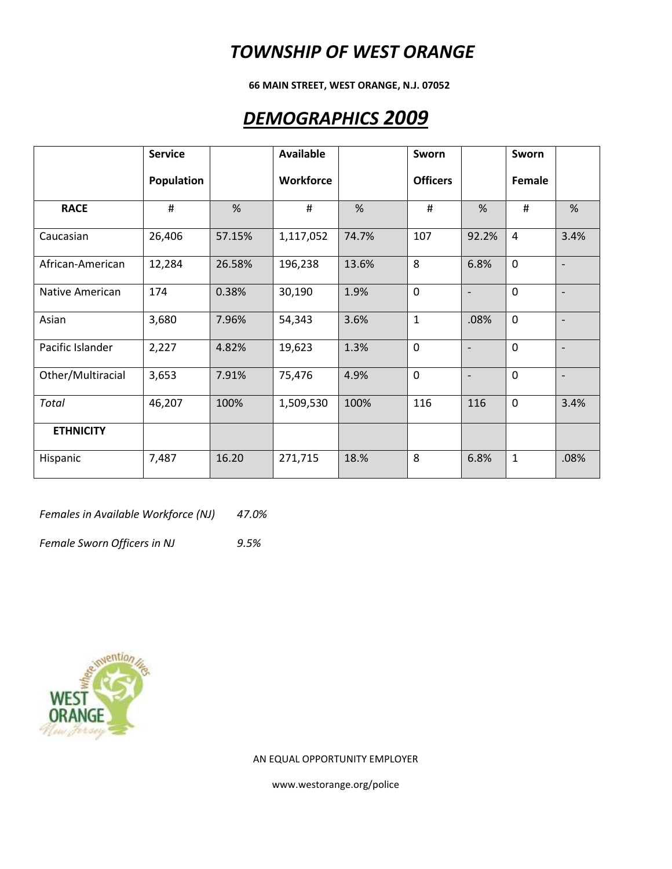**66 MAIN STREET, WEST ORANGE, N.J. 07052**

### *DEMOGRAPHICS 2009*

|                   | <b>Service</b> |        | <b>Available</b> |       | Sworn           |                          | Sworn          |                          |
|-------------------|----------------|--------|------------------|-------|-----------------|--------------------------|----------------|--------------------------|
|                   | Population     |        | Workforce        |       | <b>Officers</b> |                          | Female         |                          |
| <b>RACE</b>       | $\#$           | %      | #                | %     | $\sharp$        | %                        | #              | %                        |
| Caucasian         | 26,406         | 57.15% | 1,117,052        | 74.7% | 107             | 92.2%                    | $\overline{4}$ | 3.4%                     |
| African-American  | 12,284         | 26.58% | 196,238          | 13.6% | 8               | 6.8%                     | $\mathbf 0$    | $\overline{\phantom{a}}$ |
| Native American   | 174            | 0.38%  | 30,190           | 1.9%  | $\mathbf 0$     | $\overline{\phantom{a}}$ | $\mathbf 0$    | $\overline{\phantom{a}}$ |
| Asian             | 3,680          | 7.96%  | 54,343           | 3.6%  | $\mathbf{1}$    | .08%                     | $\mathbf 0$    |                          |
| Pacific Islander  | 2,227          | 4.82%  | 19,623           | 1.3%  | $\mathbf 0$     | $\overline{\phantom{a}}$ | 0              | $\overline{\phantom{a}}$ |
| Other/Multiracial | 3,653          | 7.91%  | 75,476           | 4.9%  | $\mathbf 0$     | $\overline{\phantom{0}}$ | $\mathbf 0$    | $\overline{\phantom{a}}$ |
| Total             | 46,207         | 100%   | 1,509,530        | 100%  | 116             | 116                      | $\mathbf 0$    | 3.4%                     |
| <b>ETHNICITY</b>  |                |        |                  |       |                 |                          |                |                          |
| Hispanic          | 7,487          | 16.20  | 271,715          | 18.%  | 8               | 6.8%                     | $\mathbf{1}$   | .08%                     |

*Females in Available Workforce (NJ) 47.0%*

*Female Sworn Officers in NJ 9.5%*



AN EQUAL OPPORTUNITY EMPLOYER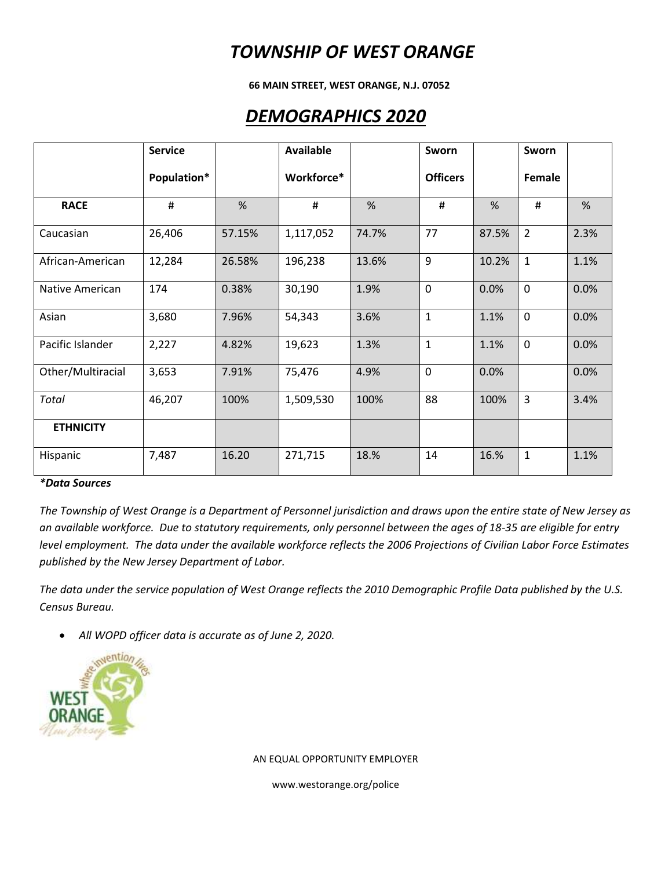**66 MAIN STREET, WEST ORANGE, N.J. 07052**

### *DEMOGRAPHICS 2020*

|                   | <b>Service</b> |        | <b>Available</b> |       | Sworn           |       | Sworn          |      |
|-------------------|----------------|--------|------------------|-------|-----------------|-------|----------------|------|
|                   | Population*    |        | Workforce*       |       | <b>Officers</b> |       | Female         |      |
| <b>RACE</b>       | #              | %      | #                | %     | #               | %     | #              | %    |
| Caucasian         | 26,406         | 57.15% | 1,117,052        | 74.7% | 77              | 87.5% | $\overline{2}$ | 2.3% |
| African-American  | 12,284         | 26.58% | 196,238          | 13.6% | 9               | 10.2% | $\mathbf{1}$   | 1.1% |
| Native American   | 174            | 0.38%  | 30,190           | 1.9%  | $\mathbf{0}$    | 0.0%  | $\mathbf 0$    | 0.0% |
| Asian             | 3,680          | 7.96%  | 54,343           | 3.6%  | $\mathbf{1}$    | 1.1%  | $\mathbf 0$    | 0.0% |
| Pacific Islander  | 2,227          | 4.82%  | 19,623           | 1.3%  | $\mathbf{1}$    | 1.1%  | $\mathbf 0$    | 0.0% |
| Other/Multiracial | 3,653          | 7.91%  | 75,476           | 4.9%  | 0               | 0.0%  |                | 0.0% |
| Total             | 46,207         | 100%   | 1,509,530        | 100%  | 88              | 100%  | 3              | 3.4% |
| <b>ETHNICITY</b>  |                |        |                  |       |                 |       |                |      |
| Hispanic          | 7,487          | 16.20  | 271,715          | 18.%  | 14              | 16.%  | $\mathbf{1}$   | 1.1% |

#### *\*Data Sources*

*The Township of West Orange is a Department of Personnel jurisdiction and draws upon the entire state of New Jersey as an available workforce. Due to statutory requirements, only personnel between the ages of 18-35 are eligible for entry level employment. The data under the available workforce reflects the 2006 Projections of Civilian Labor Force Estimates published by the New Jersey Department of Labor.*

*The data under the service population of West Orange reflects the 2010 Demographic Profile Data published by the U.S. Census Bureau.*

*All WOPD officer data is accurate as of June 2, 2020.*



AN EQUAL OPPORTUNITY EMPLOYER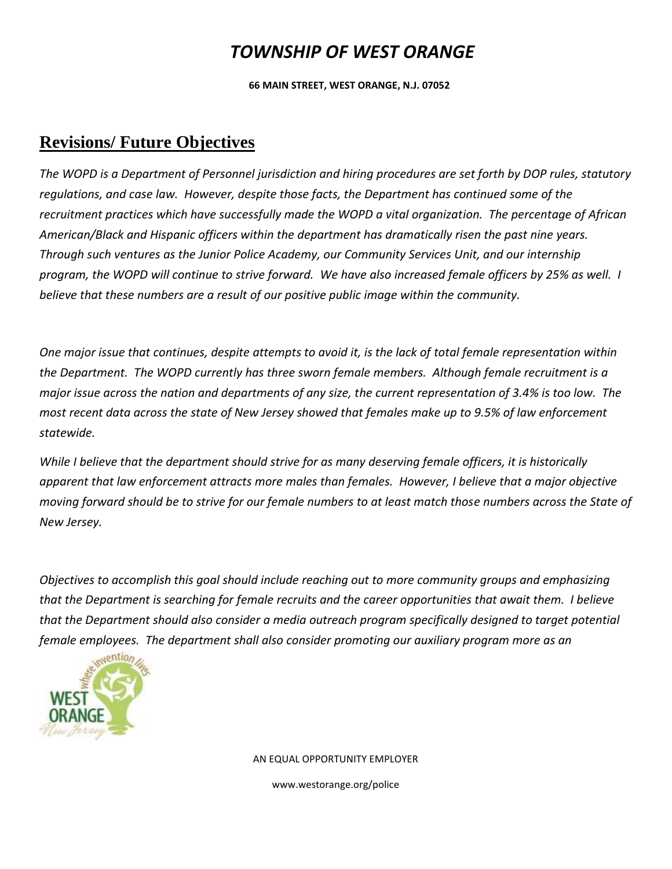**66 MAIN STREET, WEST ORANGE, N.J. 07052**

### **Revisions/ Future Objectives**

*The WOPD is a Department of Personnel jurisdiction and hiring procedures are set forth by DOP rules, statutory regulations, and case law. However, despite those facts, the Department has continued some of the recruitment practices which have successfully made the WOPD a vital organization. The percentage of African American/Black and Hispanic officers within the department has dramatically risen the past nine years. Through such ventures as the Junior Police Academy, our Community Services Unit, and our internship program, the WOPD will continue to strive forward. We have also increased female officers by 25% as well. I believe that these numbers are a result of our positive public image within the community.*

*One major issue that continues, despite attempts to avoid it, is the lack of total female representation within the Department. The WOPD currently has three sworn female members. Although female recruitment is a major issue across the nation and departments of any size, the current representation of 3.4% is too low. The most recent data across the state of New Jersey showed that females make up to 9.5% of law enforcement statewide.* 

*While I believe that the department should strive for as many deserving female officers, it is historically apparent that law enforcement attracts more males than females. However, I believe that a major objective moving forward should be to strive for our female numbers to at least match those numbers across the State of New Jersey.*

*Objectives to accomplish this goal should include reaching out to more community groups and emphasizing that the Department is searching for female recruits and the career opportunities that await them. I believe that the Department should also consider a media outreach program specifically designed to target potential female employees. The department shall also consider promoting our auxiliary program more as an* 



AN EQUAL OPPORTUNITY EMPLOYER www.westorange.org/police